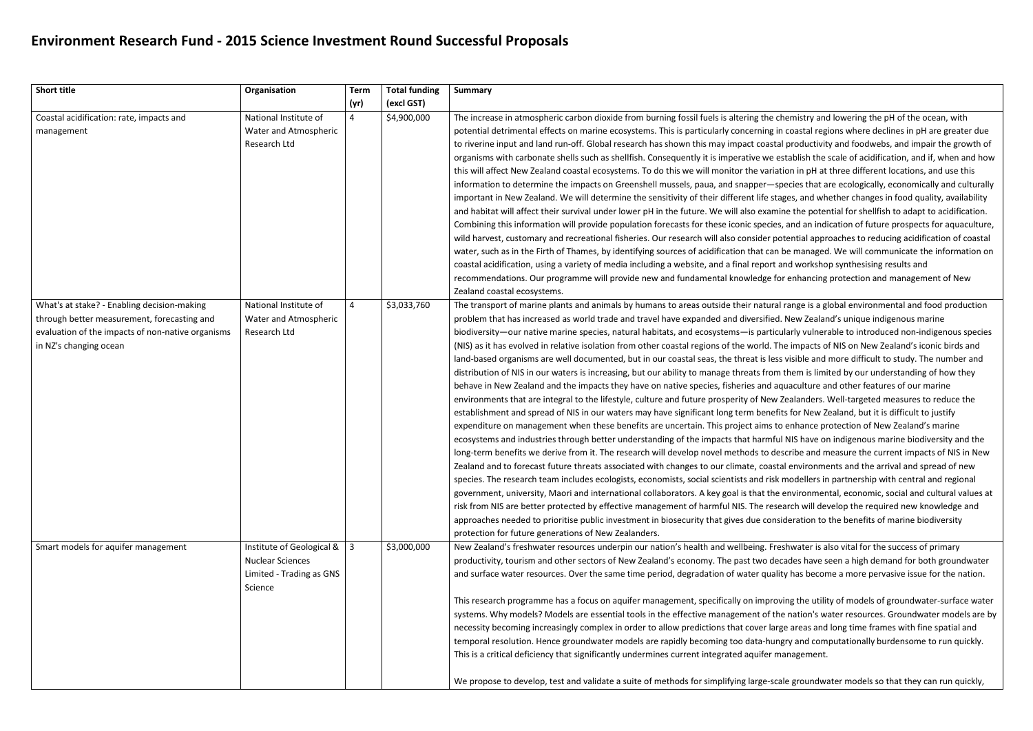## **Environment Research Fund - 2015 Science Investment Round Successful Proposals**

| <b>Short title</b>                                                                                                                                                        | Organisation                                                                                | <b>Term</b><br>(yr) | <b>Total funding</b><br>(excl GST) | <b>Summary</b>                                                                                                                                                                                                                                                                                                                                                                                                                                                                                                                                                                                                                                                                                                                                                                                                                                                                                                                                                                                                                                                                                                                                                                                                                                                                                                                                                                                                                                                                                                                                                                                        |
|---------------------------------------------------------------------------------------------------------------------------------------------------------------------------|---------------------------------------------------------------------------------------------|---------------------|------------------------------------|-------------------------------------------------------------------------------------------------------------------------------------------------------------------------------------------------------------------------------------------------------------------------------------------------------------------------------------------------------------------------------------------------------------------------------------------------------------------------------------------------------------------------------------------------------------------------------------------------------------------------------------------------------------------------------------------------------------------------------------------------------------------------------------------------------------------------------------------------------------------------------------------------------------------------------------------------------------------------------------------------------------------------------------------------------------------------------------------------------------------------------------------------------------------------------------------------------------------------------------------------------------------------------------------------------------------------------------------------------------------------------------------------------------------------------------------------------------------------------------------------------------------------------------------------------------------------------------------------------|
| Coastal acidification: rate, impacts and<br>management                                                                                                                    | National Institute of<br>Water and Atmospheric<br>Research Ltd                              | $\overline{4}$      | \$4,900,000                        | The increase in atmospheric carbon dioxide from burning fossil fuels is altering the c<br>potential detrimental effects on marine ecosystems. This is particularly concerning i<br>to riverine input and land run-off. Global research has shown this may impact coasta<br>organisms with carbonate shells such as shellfish. Consequently it is imperative we e<br>this will affect New Zealand coastal ecosystems. To do this we will monitor the varia<br>information to determine the impacts on Greenshell mussels, paua, and snapper-s<br>important in New Zealand. We will determine the sensitivity of their different life sta<br>and habitat will affect their survival under lower pH in the future. We will also exam<br>Combining this information will provide population forecasts for these iconic species<br>wild harvest, customary and recreational fisheries. Our research will also consider po<br>water, such as in the Firth of Thames, by identifying sources of acidification that can<br>coastal acidification, using a variety of media including a website, and a final report<br>recommendations. Our programme will provide new and fundamental knowledge fo<br>Zealand coastal ecosystems.                                                                                                                                                                                                                                                                                                                                                                             |
| What's at stake? - Enabling decision-making<br>through better measurement, forecasting and<br>evaluation of the impacts of non-native organisms<br>in NZ's changing ocean | National Institute of<br>Water and Atmospheric<br>Research Ltd                              | $\overline{4}$      | \$3,033,760                        | The transport of marine plants and animals by humans to areas outside their natura<br>problem that has increased as world trade and travel have expanded and diversified<br>biodiversity-our native marine species, natural habitats, and ecosystems-is partic<br>(NIS) as it has evolved in relative isolation from other coastal regions of the world. T<br>land-based organisms are well documented, but in our coastal seas, the threat is les<br>distribution of NIS in our waters is increasing, but our ability to manage threats from<br>behave in New Zealand and the impacts they have on native species, fisheries and a<br>environments that are integral to the lifestyle, culture and future prosperity of New<br>establishment and spread of NIS in our waters may have significant long term benef<br>expenditure on management when these benefits are uncertain. This project aims to<br>ecosystems and industries through better understanding of the impacts that harmfu<br>long-term benefits we derive from it. The research will develop novel methods to de<br>Zealand and to forecast future threats associated with changes to our climate, coast<br>species. The research team includes ecologists, economists, social scientists and risk<br>government, university, Maori and international collaborators. A key goal is that the<br>risk from NIS are better protected by effective management of harmful NIS. The rese<br>approaches needed to prioritise public investment in biosecurity that gives due cons<br>protection for future generations of New Zealanders. |
| Smart models for aquifer management                                                                                                                                       | Institute of Geological &<br><b>Nuclear Sciences</b><br>Limited - Trading as GNS<br>Science | 3                   | \$3,000,000                        | New Zealand's freshwater resources underpin our nation's health and wellbeing. Fre<br>productivity, tourism and other sectors of New Zealand's economy. The past two de<br>and surface water resources. Over the same time period, degradation of water qual<br>This research programme has a focus on aquifer management, specifically on impro<br>systems. Why models? Models are essential tools in the effective management of th<br>necessity becoming increasingly complex in order to allow predictions that cover lar<br>temporal resolution. Hence groundwater models are rapidly becoming too data-hur<br>This is a critical deficiency that significantly undermines current integrated aquifer n<br>We propose to develop, test and validate a suite of methods for simplifying large-sc                                                                                                                                                                                                                                                                                                                                                                                                                                                                                                                                                                                                                                                                                                                                                                                                  |

chemistry and lowering the pH of the ocean, with in coastal regions where declines in pH are greater due al productivity and foodwebs, and impair the growth of establish the scale of acidification, and if, when and how ation in pH at three different locations, and use this species that are ecologically, economically and culturally ages, and whether changes in food quality, availability ine the potential for shellfish to adapt to acidification. s, and an indication of future prospects for aquaculture, otential approaches to reducing acidification of coastal be managed. We will communicate the information on and workshop synthesising results and or enhancing protection and management of New

al range is a global environmental and food production d. New Zealand's unique indigenous marine cularly vulnerable to introduced non-indigenous species The impacts of NIS on New Zealand's iconic birds and ss visible and more difficult to study. The number and n them is limited by our understanding of how they iquaculture and other features of our marine Benianders. Well-targeted measures to reduce the fits for New Zealand, but it is difficult to justify to enhance protection of New Zealand's marine ul NIS have on indigenous marine biodiversity and the escribe and measure the current impacts of NIS in New tal environments and the arrival and spread of new modellers in partnership with central and regional smodellers in partnership with central and regional environmental, economic, social and cultural values at earch will develop the required new knowledge and sideration to the benefits of marine biodiversity

eshwater is also vital for the success of primary ecades have seen a high demand for both groundwater lity has become a more pervasive issue for the nation.

wing the utility of models of groundwater-surface water he nation's water resources. Groundwater models are by rge areas and long time frames with fine spatial and ngry and computationally burdensome to run quickly. management.

ale groundwater models so that they can run quickly,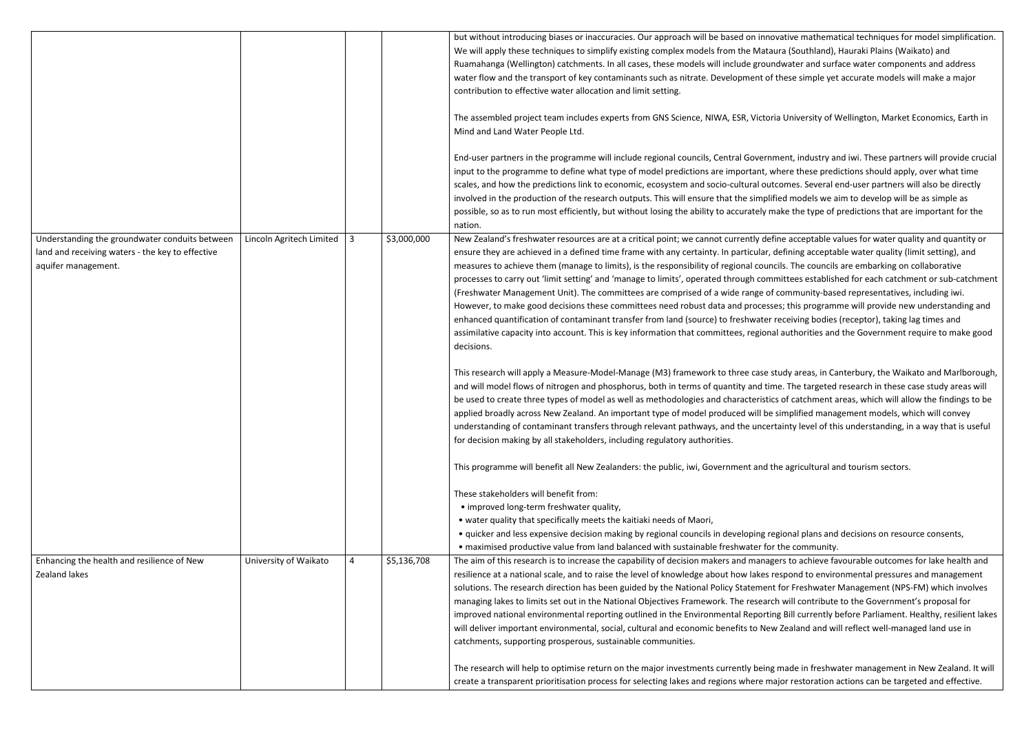|                                                                                                                           |                          |                |             | but without introducing biases or inaccuracies. Our approach will be based on innova<br>We will apply these techniques to simplify existing complex models from the Mataur<br>Ruamahanga (Wellington) catchments. In all cases, these models will include ground<br>water flow and the transport of key contaminants such as nitrate. Development of the<br>contribution to effective water allocation and limit setting.<br>The assembled project team includes experts from GNS Science, NIWA, ESR, Victoria<br>Mind and Land Water People Ltd.                                                                                                                                                                                    |
|---------------------------------------------------------------------------------------------------------------------------|--------------------------|----------------|-------------|--------------------------------------------------------------------------------------------------------------------------------------------------------------------------------------------------------------------------------------------------------------------------------------------------------------------------------------------------------------------------------------------------------------------------------------------------------------------------------------------------------------------------------------------------------------------------------------------------------------------------------------------------------------------------------------------------------------------------------------|
|                                                                                                                           |                          |                |             | End-user partners in the programme will include regional councils, Central Governm<br>input to the programme to define what type of model predictions are important, wh<br>scales, and how the predictions link to economic, ecosystem and socio-cultural outco<br>involved in the production of the research outputs. This will ensure that the simplifie<br>possible, so as to run most efficiently, but without losing the ability to accurately ma<br>nation.                                                                                                                                                                                                                                                                    |
| Understanding the groundwater conduits between<br>land and receiving waters - the key to effective<br>aquifer management. | Lincoln Agritech Limited | $\overline{3}$ | \$3,000,000 | New Zealand's freshwater resources are at a critical point; we cannot currently defin<br>ensure they are achieved in a defined time frame with any certainty. In particular, de<br>measures to achieve them (manage to limits), is the responsibility of regional counci<br>processes to carry out 'limit setting' and 'manage to limits', operated through comm<br>(Freshwater Management Unit). The committees are comprised of a wide range of c<br>However, to make good decisions these committees need robust data and processes<br>enhanced quantification of contaminant transfer from land (source) to freshwater re<br>assimilative capacity into account. This is key information that committees, regional<br>decisions. |
|                                                                                                                           |                          |                |             | This research will apply a Measure-Model-Manage (M3) framework to three case stu<br>and will model flows of nitrogen and phosphorus, both in terms of quantity and time<br>be used to create three types of model as well as methodologies and characteristics<br>applied broadly across New Zealand. An important type of model produced will be si<br>understanding of contaminant transfers through relevant pathways, and the uncerta<br>for decision making by all stakeholders, including regulatory authorities.<br>This programme will benefit all New Zealanders: the public, iwi, Government and the                                                                                                                       |
|                                                                                                                           |                          |                |             | These stakeholders will benefit from:<br>• improved long-term freshwater quality,<br>• water quality that specifically meets the kaitiaki needs of Maori,<br>• quicker and less expensive decision making by regional councils in developing reg<br>. maximised productive value from land balanced with sustainable freshwater for t                                                                                                                                                                                                                                                                                                                                                                                                |
| Enhancing the health and resilience of New<br>Zealand lakes                                                               | University of Waikato    | 4              | \$5,136,708 | The aim of this research is to increase the capability of decision makers and manager<br>resilience at a national scale, and to raise the level of knowledge about how lakes res<br>solutions. The research direction has been guided by the National Policy Statement f<br>managing lakes to limits set out in the National Objectives Framework. The research<br>improved national environmental reporting outlined in the Environmental Reporting<br>will deliver important environmental, social, cultural and economic benefits to New .<br>catchments, supporting prosperous, sustainable communities.                                                                                                                         |
|                                                                                                                           |                          |                |             | The research will help to optimise return on the major investments currently being n<br>create a transparent prioritisation process for selecting lakes and regions where maj                                                                                                                                                                                                                                                                                                                                                                                                                                                                                                                                                        |

rative mathematical techniques for model simplification. ra (Southland), Hauraki Plains (Waikato) and lwater and surface water components and address hese simple yet accurate models will make a major

University of Wellington, Market Economics, Earth in

ent, industry and iwi. These partners will provide crucial iere these predictions should apply, over what time omes. Several end-user partners will also be directly ed models we aim to develop will be as simple as ke the type of predictions that are important for the

ne acceptable values for water quality and quantity or efining acceptable water quality (limit setting), and ls. The councils are embarking on collaborative ittees established for each catchment or sub-catchment community-based representatives, including iwi. s; this programme will provide new understanding and eceiving bodies (receptor), taking lag times and authorities and the Government require to make good

udy areas, in Canterbury, the Waikato and Marlborough, . The targeted research in these case study areas will of catchment areas, which will allow the findings to be implified management models, which will convey inty level of this understanding, in a way that is useful

e agricultural and tourism sectors.

ional plans and decisions on resource consents, he community.

rs to achieve favourable outcomes for lake health and spond to environmental pressures and management for Freshwater Management (NPS-FM) which involves will contribute to the Government's proposal for Bill currently before Parliament. Healthy, resilient lakes Zealand and will reflect well-managed land use in

made in freshwater management in New Zealand. It will jor restoration actions can be targeted and effective.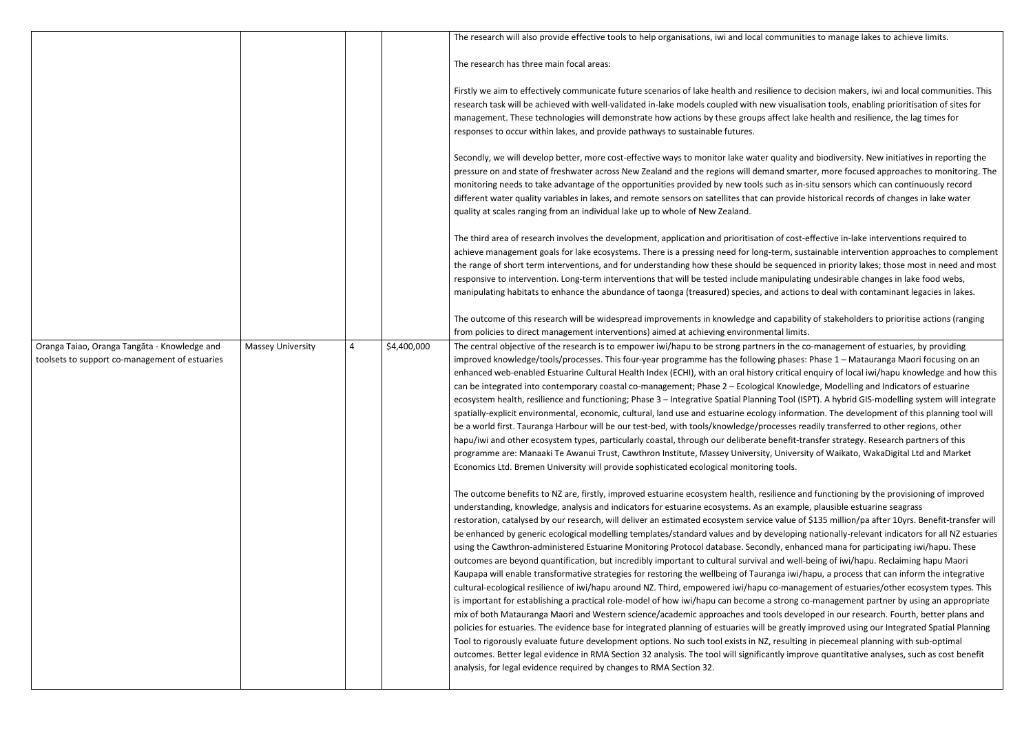|                                                                                                |                          |                |             | The research will also provide effective tools to help organisations, iwi and local communition                                                                                                                                                                                                                                                                                                                                                                                                                                                                                                                                                                                                                                                                                                                                                                                                                                                                                                                                                                                                                                                                                                                                                                                                                                               |
|------------------------------------------------------------------------------------------------|--------------------------|----------------|-------------|-----------------------------------------------------------------------------------------------------------------------------------------------------------------------------------------------------------------------------------------------------------------------------------------------------------------------------------------------------------------------------------------------------------------------------------------------------------------------------------------------------------------------------------------------------------------------------------------------------------------------------------------------------------------------------------------------------------------------------------------------------------------------------------------------------------------------------------------------------------------------------------------------------------------------------------------------------------------------------------------------------------------------------------------------------------------------------------------------------------------------------------------------------------------------------------------------------------------------------------------------------------------------------------------------------------------------------------------------|
|                                                                                                |                          |                |             | The research has three main focal areas:                                                                                                                                                                                                                                                                                                                                                                                                                                                                                                                                                                                                                                                                                                                                                                                                                                                                                                                                                                                                                                                                                                                                                                                                                                                                                                      |
|                                                                                                |                          |                |             | Firstly we aim to effectively communicate future scenarios of lake health and resilience to d<br>research task will be achieved with well-validated in-lake models coupled with new visualisation<br>management. These technologies will demonstrate how actions by these groups affect lake<br>responses to occur within lakes, and provide pathways to sustainable futures.                                                                                                                                                                                                                                                                                                                                                                                                                                                                                                                                                                                                                                                                                                                                                                                                                                                                                                                                                                 |
|                                                                                                |                          |                |             | Secondly, we will develop better, more cost-effective ways to monitor lake water quality an<br>pressure on and state of freshwater across New Zealand and the regions will demand smart<br>monitoring needs to take advantage of the opportunities provided by new tools such as in-s<br>different water quality variables in lakes, and remote sensors on satellites that can provide<br>quality at scales ranging from an individual lake up to whole of New Zealand.                                                                                                                                                                                                                                                                                                                                                                                                                                                                                                                                                                                                                                                                                                                                                                                                                                                                       |
|                                                                                                |                          |                |             | The third area of research involves the development, application and prioritisation of cost-e<br>achieve management goals for lake ecosystems. There is a pressing need for long-term, sust<br>the range of short term interventions, and for understanding how these should be sequence<br>responsive to intervention. Long-term interventions that will be tested include manipulating<br>manipulating habitats to enhance the abundance of taonga (treasured) species, and actions                                                                                                                                                                                                                                                                                                                                                                                                                                                                                                                                                                                                                                                                                                                                                                                                                                                         |
|                                                                                                |                          |                |             | The outcome of this research will be widespread improvements in knowledge and capability<br>from policies to direct management interventions) aimed at achieving environmental limits.                                                                                                                                                                                                                                                                                                                                                                                                                                                                                                                                                                                                                                                                                                                                                                                                                                                                                                                                                                                                                                                                                                                                                        |
| Oranga Taiao, Oranga Tangāta - Knowledge and<br>toolsets to support co-management of estuaries | <b>Massey University</b> | $\overline{4}$ | \$4,400,000 | The central objective of the research is to empower iwi/hapu to be strong partners in the co<br>improved knowledge/tools/processes. This four-year programme has the following phases:<br>enhanced web-enabled Estuarine Cultural Health Index (ECHI), with an oral history critical e<br>can be integrated into contemporary coastal co-management; Phase 2 - Ecological Knowled<br>ecosystem health, resilience and functioning; Phase 3 - Integrative Spatial Planning Tool (IS<br>spatially-explicit environmental, economic, cultural, land use and estuarine ecology informa<br>be a world first. Tauranga Harbour will be our test-bed, with tools/knowledge/processes rea<br>hapu/iwi and other ecosystem types, particularly coastal, through our deliberate benefit-tra<br>programme are: Manaaki Te Awanui Trust, Cawthron Institute, Massey University, Universit<br>Economics Ltd. Bremen University will provide sophisticated ecological monitoring tools.                                                                                                                                                                                                                                                                                                                                                                     |
|                                                                                                |                          |                |             | The outcome benefits to NZ are, firstly, improved estuarine ecosystem health, resilience and<br>understanding, knowledge, analysis and indicators for estuarine ecosystems. As an example<br>restoration, catalysed by our research, will deliver an estimated ecosystem service value of<br>be enhanced by generic ecological modelling templates/standard values and by developing<br>using the Cawthron-administered Estuarine Monitoring Protocol database. Secondly, enhan<br>outcomes are beyond quantification, but incredibly important to cultural survival and well-b<br>Kaupapa will enable transformative strategies for restoring the wellbeing of Tauranga iwi/ha<br>cultural-ecological resilience of iwi/hapu around NZ. Third, empowered iwi/hapu co-manag<br>is important for establishing a practical role-model of how iwi/hapu can become a strong co<br>mix of both Matauranga Maori and Western science/academic approaches and tools develo<br>policies for estuaries. The evidence base for integrated planning of estuaries will be greatly<br>Tool to rigorously evaluate future development options. No such tool exists in NZ, resulting<br>outcomes. Better legal evidence in RMA Section 32 analysis. The tool will significantly impro<br>analysis, for legal evidence required by changes to RMA Section 32. |

## Interalien will also provide to the velights. The initimits or  $n = 1$

nce to decision makers, iwi and local communities. This risualisation tools, enabling prioritisation of sites for ect lake health and resilience, the lag times for

ality and biodiversity. New initiatives in reporting the d smarter, more focused approaches to monitoring. The h as in-situ sensors which can continuously record brovide historical records of changes in lake water

of cost-effective in-lake interventions required to rm, sustainable intervention approaches to complement equenced in priority lakes; those most in need and most pulating undesirable changes in lake food webs, actions to deal with contaminant legacies in lakes.

Ipability of stakeholders to prioritise actions (ranging

in the co-management of estuaries, by providing ohases: Phase 1 – Matauranga Maori focusing on an ritical enquiry of local iwi/hapu knowledge and how this Inowledge, Modelling and Indicators of estuarine Fool (ISPT). A hybrid GIS-modelling system will integrate information. The development of this planning tool will sses readily transferred to other regions, other nefit-transfer strategy. Research partners of this Iniversity of Waikato, WakaDigital Ltd and Market

ence and functioning by the provisioning of improved example, plausible estuarine seagrass alue of \$135 million/pa after 10yrs. Benefit-transfer will eloping nationally-relevant indicators for all NZ estuaries enhanced mana for participating iwi/hapu. These. d well-being of iwi/hapu. Reclaiming hapu Maori a iwi/hapu, a process that can inform the integrative -management of estuaries/other ecosystem types. This rong co-management partner by using an appropriate developed in our research. Fourth, better plans and greatly improved using our Integrated Spatial Planning esulting in piecemeal planning with sub-optimal y improve quantitative analyses, such as cost benefit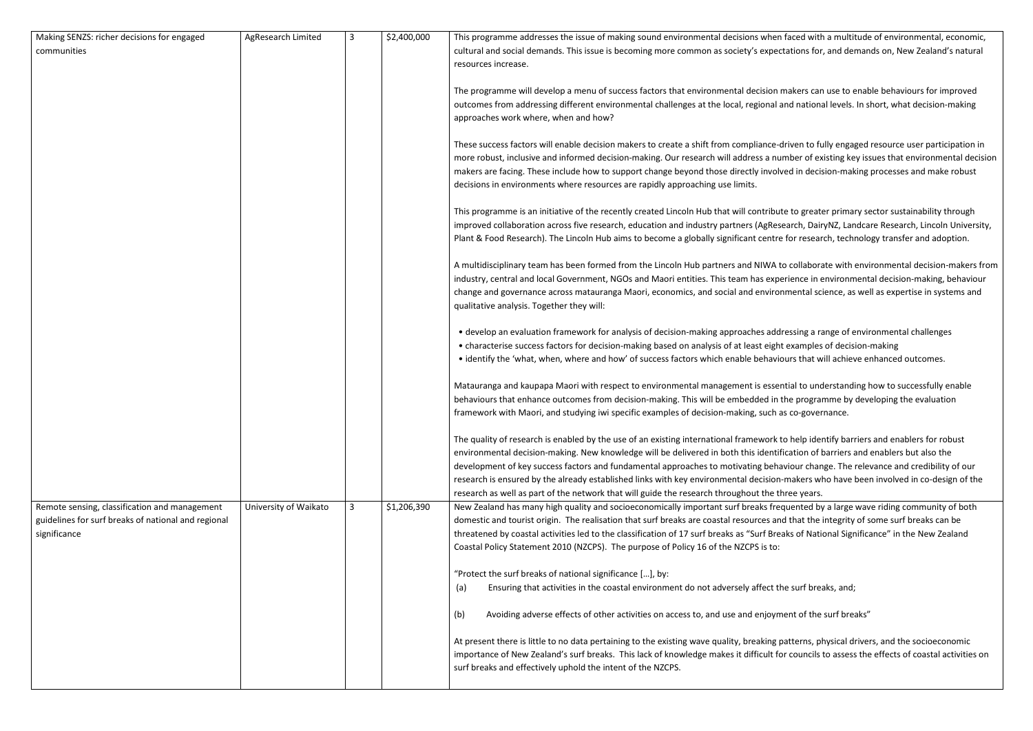| Making SENZS: richer decisions for engaged                                                                           | AgResearch Limited    | 3 | \$2,400,000 | This programme addresses the issue of making sound environmental decisions wher                                                                                                                                                                                                                                                                                                                                                                 |
|----------------------------------------------------------------------------------------------------------------------|-----------------------|---|-------------|-------------------------------------------------------------------------------------------------------------------------------------------------------------------------------------------------------------------------------------------------------------------------------------------------------------------------------------------------------------------------------------------------------------------------------------------------|
| communities                                                                                                          |                       |   |             | cultural and social demands. This issue is becoming more common as society's exper<br>resources increase.                                                                                                                                                                                                                                                                                                                                       |
|                                                                                                                      |                       |   |             | The programme will develop a menu of success factors that environmental decision<br>outcomes from addressing different environmental challenges at the local, regional<br>approaches work where, when and how?                                                                                                                                                                                                                                  |
|                                                                                                                      |                       |   |             | These success factors will enable decision makers to create a shift from compliance-<br>more robust, inclusive and informed decision-making. Our research will address a nu<br>makers are facing. These include how to support change beyond those directly invol<br>decisions in environments where resources are rapidly approaching use limits.                                                                                              |
|                                                                                                                      |                       |   |             | This programme is an initiative of the recently created Lincoln Hub that will contribu<br>improved collaboration across five research, education and industry partners (AgRes<br>Plant & Food Research). The Lincoln Hub aims to become a globally significant centro                                                                                                                                                                           |
|                                                                                                                      |                       |   |             | A multidisciplinary team has been formed from the Lincoln Hub partners and NIWA i<br>industry, central and local Government, NGOs and Maori entities. This team has exp<br>change and governance across matauranga Maori, economics, and social and enviro<br>qualitative analysis. Together they will:                                                                                                                                         |
|                                                                                                                      |                       |   |             | • develop an evaluation framework for analysis of decision-making approaches add<br>• characterise success factors for decision-making based on analysis of at least eigh<br>• identify the 'what, when, where and how' of success factors which enable behavi                                                                                                                                                                                  |
|                                                                                                                      |                       |   |             | Matauranga and kaupapa Maori with respect to environmental management is esse<br>behaviours that enhance outcomes from decision-making. This will be embedded in<br>framework with Maori, and studying iwi specific examples of decision-making, such a                                                                                                                                                                                         |
|                                                                                                                      |                       |   |             | The quality of research is enabled by the use of an existing international framework<br>environmental decision-making. New knowledge will be delivered in both this identi<br>development of key success factors and fundamental approaches to motivating beha<br>research is ensured by the already established links with key environmental decision<br>research as well as part of the network that will guide the research throughout the t |
| Remote sensing, classification and management<br>guidelines for surf breaks of national and regional<br>significance | University of Waikato | 3 | \$1,206,390 | New Zealand has many high quality and socioeconomically important surf breaks fre<br>domestic and tourist origin. The realisation that surf breaks are coastal resources ar<br>threatened by coastal activities led to the classification of 17 surf breaks as "Surf Bre<br>Coastal Policy Statement 2010 (NZCPS). The purpose of Policy 16 of the NZCPS is to:                                                                                 |
|                                                                                                                      |                       |   |             | "Protect the surf breaks of national significance [], by:<br>Ensuring that activities in the coastal environment do not adversely affect t<br>(a)                                                                                                                                                                                                                                                                                               |
|                                                                                                                      |                       |   |             | Avoiding adverse effects of other activities on access to, and use and enjoyn<br>(b)                                                                                                                                                                                                                                                                                                                                                            |
|                                                                                                                      |                       |   |             | At present there is little to no data pertaining to the existing wave quality, breaking<br>importance of New Zealand's surf breaks. This lack of knowledge makes it difficult fo<br>surf breaks and effectively uphold the intent of the NZCPS.                                                                                                                                                                                                 |

n faced with a multitude of environmental, economic, ectations for, and demands on, New Zealand's natural

makers can use to enable behaviours for improved and national levels. In short, what decision-making

-driven to fully engaged resource user participation in umber of existing key issues that environmental decision lved in decision-making processes and make robust

ate to greater primary sector sustainability through search, DairyNZ, Landcare Research, Lincoln University, re for research, technology transfer and adoption.

to collaborate with environmental decision-makers from berience in environmental decision-making, behaviour onmental science, as well as expertise in systems and

dressing a range of environmental challenges ht examples of decision-making iours that will achieve enhanced outcomes.

ential to understanding how to successfully enable i the programme by developing the evaluation as co-governance.

to help identify barriers and enablers for robust ification of barriers and enablers but also the aviour change. The relevance and credibility of our i-makers who have been involved in co-design of the three years.

equented by a large wave riding community of both d that the integrity of some surf breaks can be eaks of National Significance" in the New Zealand

the surf breaks, and;

ment of the surf breaks"

patterns, physical drivers, and the socioeconomic for councils to assess the effects of coastal activities on